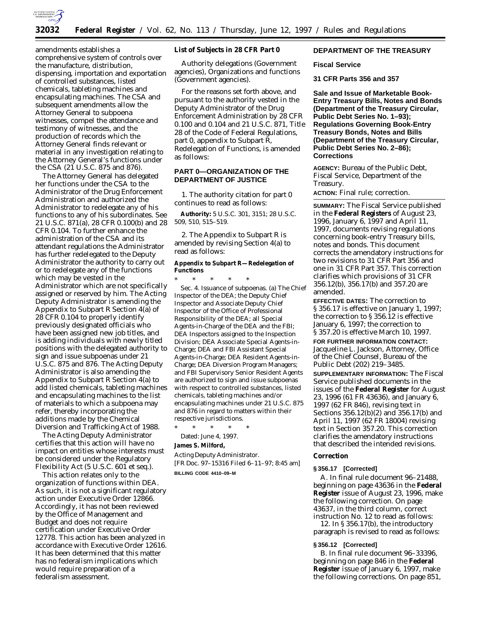

amendments establishes a comprehensive system of controls over the manufacture, distribution, dispensing, importation and exportation of controlled substances, listed chemicals, tableting machines and encapsulating machines. The CSA and subsequent amendments allow the Attorney General to subpoena witnesses, compel the attendance and testimony of witnesses, and the production of records which the Attorney General finds relevant or material in any investigation relating to the Attorney General's functions under the CSA (21 U.S.C. 875 and 876).

The Attorney General has delegated her functions under the CSA to the Administrator of the Drug Enforcement Administration and authorized the Administrator to redelegate any of his functions to any of his subordinates. See 21 U.S.C. 871(a), 28 CFR 0.100(b) and 28 CFR 0.104. To further enhance the administration of the CSA and its attendant regulations the Administrator has further redelegated to the Deputy Administrator the authority to carry out or to redelegate any of the functions which may be vested in the Administrator which are not specifically assigned or reserved by him. The Acting Deputy Administrator is amending the Appendix to Subpart R Section 4(a) of 28 CFR 0.104 to properly identify previously designated officials who have been assigned new job titles, and is adding individuals with newly titled positions with the delegated authority to sign and issue subpoenas under 21 U.S.C. 875 and 876. The Acting Deputy Administrator is also amending the Appendix to Subpart R Section 4(a) to add listed chemicals, tableting machines and encapsulating machines to the list of materials to which a subpoena may refer, thereby incorporating the additions made by the Chemical Diversion and Trafficking Act of 1988.

The Acting Deputy Administrator certifies that this action will have no impact on entities whose interests must be considered under the Regulatory Flexibility Act (5 U.S.C. 601 *et seq.*).

This action relates only to the organization of functions within DEA. As such, it is not a significant regulatory action under Executive Order 12866. Accordingly, it has not been reviewed by the Office of Management and Budget and does not require certification under Executive Order 12778. This action has been analyzed in accordance with Executive Order 12616. It has been determined that this matter has no federalism implications which would require preparation of a federalism assessment.

### **List of Subjects in 28 CFR Part 0**

Authority delegations (Government agencies), Organizations and functions (Government agencies).

For the reasons set forth above, and pursuant to the authority vested in the Deputy Administrator of the Drug Enforcement Administration by 28 CFR 0.100 and 0.104 and 21 U.S.C. 871, Title 28 of the Code of Federal Regulations, part 0, appendix to Subpart R, Redelegation of Functions, is amended as follows:

## **PART 0—ORGANIZATION OF THE DEPARTMENT OF JUSTICE**

1. The authority citation for part 0 continues to read as follows:

**Authority:** 5 U.S.C. 301, 3151; 28 U.S.C. 509, 510, 515–519.

2. The Appendix to Subpart R is amended by revising Section 4(a) to read as follows:

## **Appendix to Subpart R—Redelegation of Functions**

\* \* \* \* \* Sec. 4. Issuance of subpoenas. (a) The Chief Inspector of the DEA; the Deputy Chief Inspector and Associate Deputy Chief Inspector of the Office of Professional Responsibility of the DEA; all Special Agents-in-Charge of the DEA and the FBI; DEA Inspectors assigned to the Inspection Division; DEA Associate Special Agents-in-Charge; DEA and FBI Assistant Special Agents-in-Charge; DEA Resident Agents-in-Charge; DEA Diversion Program Managers; and FBI Supervisory Senior Resident Agents are authorized to sign and issue subpoenas with respect to controlled substances, listed chemicals, tableting machines and/or encapsulating machines under 21 U.S.C. 875 and 876 in regard to matters within their respective jurisdictions.

\* \* \* \* \* Dated: June 4, 1997.

# **James S. Milford,**

*Acting Deputy Administrator.* [FR Doc. 97–15316 Filed 6–11–97; 8:45 am] **BILLING CODE 4410–09–M**

## **DEPARTMENT OF THE TREASURY**

#### **Fiscal Service**

**31 CFR Parts 356 and 357**

**Sale and Issue of Marketable Book-Entry Treasury Bills, Notes and Bonds (Department of the Treasury Circular, Public Debt Series No. 1–93); Regulations Governing Book-Entry Treasury Bonds, Notes and Bills (Department of the Treasury Circular, Public Debt Series No. 2–86); Corrections**

**AGENCY:** Bureau of the Public Debt, Fiscal Service, Department of the Treasury.

**ACTION:** Final rule; correction.

**SUMMARY:** The Fiscal Service published in the **Federal Registers** of August 23, 1996, January 6, 1997 and April 11, 1997, documents revising regulations concerning book-entry Treasury bills, notes and bonds. This document corrects the amendatory instructions for two revisions to 31 CFR Part 356 and one in 31 CFR Part 357. This correction clarifies which provisions of 31 CFR 356.12(b), 356.17(b) and 357.20 are amended.

**EFFECTIVE DATES:** The correction to § 356.17 is effective on January 1, 1997; the correction to § 356.12 is effective January 6, 1997; the correction to § 357.20 is effective March 10, 1997.

**FOR FURTHER INFORMATION CONTACT:** Jacqueline L. Jackson, Attorney, Office of the Chief Counsel, Bureau of the Public Debt (202) 219–3485.

**SUPPLEMENTARY INFORMATION:** The Fiscal Service published documents in the issues of the **Federal Register** for August 23, 1996 (61 FR 43636), and January 6, 1997 (62 FR 846), revising text in Sections 356.12(b)(2) and 356.17(b) and April 11, 1997 (62 FR 18004) revising text in Section 357.20. This correction clarifies the amendatory instructions that described the intended revisions.

#### **Correction**

### **§ 356.17 [Corrected]**

A. In final rule document 96–21488, beginning on page 43636 in the **Federal Register** issue of August 23, 1996, make the following correction. On page 43637, in the third column, correct instruction No. 12 to read as follows:

12. In § 356.17(b), the introductory paragraph is revised to read as follows:

#### **§ 356.12 [Corrected]**

B. In final rule document 96–33396, beginning on page 846 in the **Federal Register** issue of January 6, 1997, make the following corrections. On page 851,